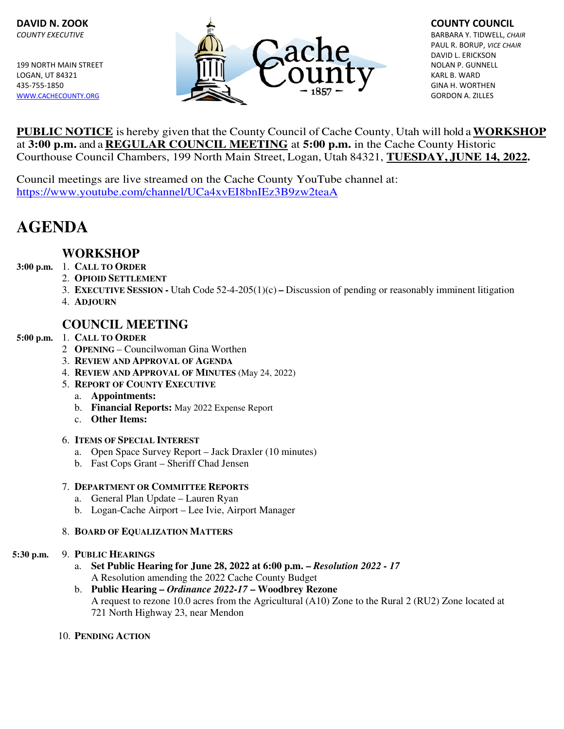

 PAUL R. BORUP, VICE CHAIR DAVID L. ERICKSON

**PUBLIC NOTICE** is hereby given that the County Council of Cache County, Utah will hold a **WORKSHOP**  at **3:00 p.m.** and a **REGULAR COUNCIL MEETING** at **5:00 p.m.** in the Cache County Historic Courthouse Council Chambers, 199 North Main Street, Logan, Utah 84321, **TUESDAY, JUNE 14, 2022.** 

Council meetings are live streamed on the Cache County YouTube channel at: https://www.youtube.com/channel/UCa4xvEI8bnIEz3B9zw2teaA

# **AGENDA**

# **WORKSHOP**

- **3:00 p.m.** 1. **CALL TO ORDER**
	- 2. **OPIOID SETTLEMENT**
	- 3. **EXECUTIVE SESSION -** Utah Code 52-4-205(1)(c) **–** Discussion of pending or reasonably imminent litigation
	- 4. **ADJOURN**

## **COUNCIL MEETING**

### **5:00 p.m.** 1. **CALL TO ORDER**

- 2 **OPENING**  Councilwoman Gina Worthen
- 3. **REVIEW AND APPROVAL OF AGENDA**
- 4. **REVIEW AND APPROVAL OF MINUTES** (May 24, 2022)
- 5. **REPORT OF COUNTY EXECUTIVE**
	- a. **Appointments:**
	- b. **Financial Reports:** May 2022 Expense Report
	- c. **Other Items:**
- 6. **ITEMS OF SPECIAL INTEREST**
	- a. Open Space Survey Report Jack Draxler (10 minutes)
	- b. Fast Cops Grant Sheriff Chad Jensen

### 7. **DEPARTMENT OR COMMITTEE REPORTS**

- a. General Plan Update Lauren Ryan
- b. Logan-Cache Airport Lee Ivie, Airport Manager

### 8. **BOARD OF EQUALIZATION MATTERS**

### **5:30 p.m.** 9. **PUBLIC HEARINGS**

- a. **Set Public Hearing for June 28, 2022 at 6:00 p.m.** *Resolution 2022 17* A Resolution amending the 2022 Cache County Budget
- b. **Public Hearing** *Ordinance 2022-17* **Woodbrey Rezone** A request to rezone 10.0 acres from the Agricultural (A10) Zone to the Rural 2 (RU2) Zone located at 721 North Highway 23, near Mendon
- 10. **PENDING ACTION**